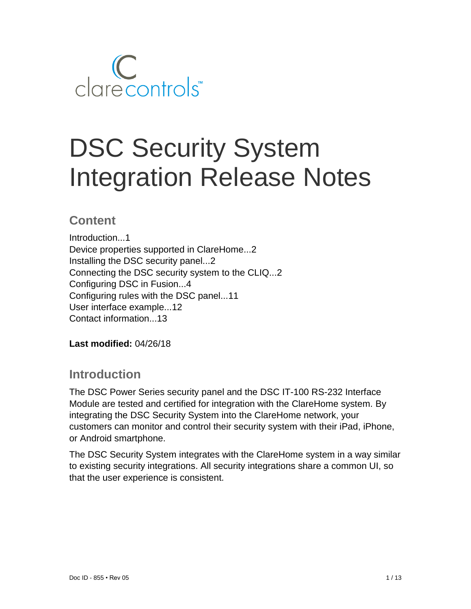

# DSC Security System Integration Release Notes

# **Content**

Introduction...1 Device properties supported in ClareHome...2 Installing the DSC security panel...2 Connecting the DSC security system to the CLIQ...2 Configuring DSC in Fusion...4 Configuring rules with the DSC panel...11 User interface example...12 Contact information...13

**Last modified:** 04/26/18

# **Introduction**

The DSC Power Series security panel and the DSC IT-100 RS-232 Interface Module are tested and certified for integration with the ClareHome system. By integrating the DSC Security System into the ClareHome network, your customers can monitor and control their security system with their iPad, iPhone, or Android smartphone.

The DSC Security System integrates with the ClareHome system in a way similar to existing security integrations. All security integrations share a common UI, so that the user experience is consistent.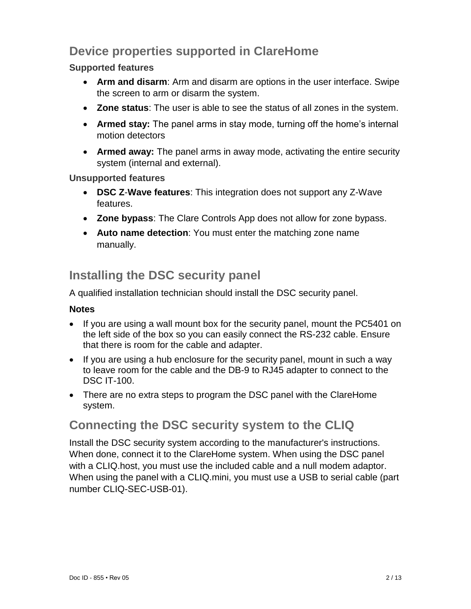# **Device properties supported in ClareHome**

### **Supported features**

- **Arm and disarm**: Arm and disarm are options in the user interface. Swipe the screen to arm or disarm the system.
- **Zone status**: The user is able to see the status of all zones in the system.
- **Armed stay:** The panel arms in stay mode, turning off the home's internal motion detectors
- **Armed away:** The panel arms in away mode, activating the entire security system (internal and external).

**Unsupported features**

- **DSC Z**-**Wave features**: This integration does not support any Z-Wave features.
- **Zone bypass**: The Clare Controls App does not allow for zone bypass.
- **Auto name detection**: You must enter the matching zone name manually.

# **Installing the DSC security panel**

A qualified installation technician should install the DSC security panel.

### **Notes**

- If you are using a wall mount box for the security panel, mount the PC5401 on the left side of the box so you can easily connect the RS-232 cable. Ensure that there is room for the cable and adapter.
- If you are using a hub enclosure for the security panel, mount in such a way to leave room for the cable and the DB-9 to RJ45 adapter to connect to the DSC IT-100.
- There are no extra steps to program the DSC panel with the ClareHome system.

# **Connecting the DSC security system to the CLIQ**

Install the DSC security system according to the manufacturer's instructions. When done, connect it to the ClareHome system. When using the DSC panel with a CLIQ.host, you must use the included cable and a null modem adaptor. When using the panel with a CLIQ.mini, you must use a USB to serial cable (part number CLIQ-SEC-USB-01).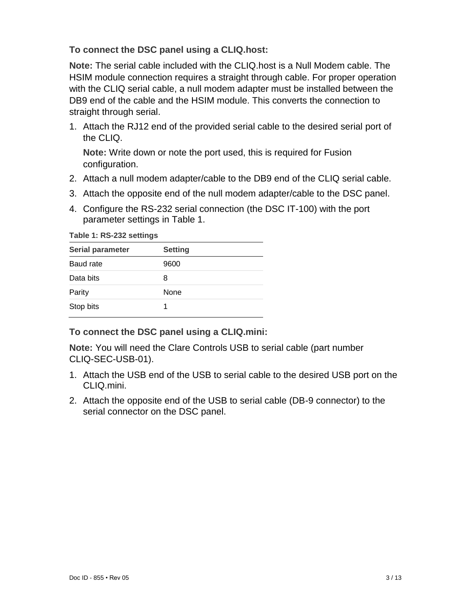### **To connect the DSC panel using a CLIQ.host:**

**Note:** The serial cable included with the CLIQ.host is a Null Modem cable. The HSIM module connection requires a straight through cable. For proper operation with the CLIQ serial cable, a null modem adapter must be installed between the DB9 end of the cable and the HSIM module. This converts the connection to straight through serial.

1. Attach the RJ12 end of the provided serial cable to the desired serial port of the CLIQ.

**Note:** Write down or note the port used, this is required for Fusion configuration.

- 2. Attach a null modem adapter/cable to the DB9 end of the CLIQ serial cable.
- 3. Attach the opposite end of the null modem adapter/cable to the DSC panel.
- 4. Configure the RS-232 serial connection (the DSC IT-100) with the port parameter settings in Table 1.

**Table 1: RS-232 settings**

| <b>Serial parameter</b> | <b>Setting</b> |
|-------------------------|----------------|
| Baud rate               | 9600           |
| Data bits               | 8              |
| Parity                  | <b>None</b>    |
| Stop bits               |                |

**To connect the DSC panel using a CLIQ.mini:**

**Note:** You will need the Clare Controls USB to serial cable (part number CLIQ-SEC-USB-01).

- 1. Attach the USB end of the USB to serial cable to the desired USB port on the CLIQ.mini.
- 2. Attach the opposite end of the USB to serial cable (DB-9 connector) to the serial connector on the DSC panel.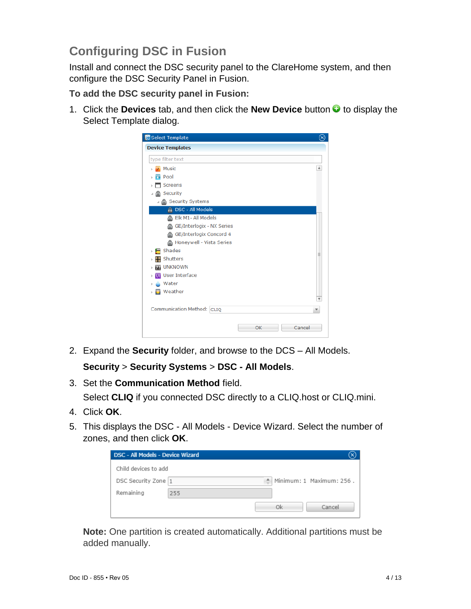# **Configuring DSC in Fusion**

Install and connect the DSC security panel to the ClareHome system, and then configure the DSC Security Panel in Fusion.

**To add the DSC security panel in Fusion:** 

1. Click the **Devices** tab, and then click the **New Device** button **the display the** Select Template dialog.



2. Expand the **Security** folder, and browse to the DCS – All Models.

**Security** > **Security Systems** > **DSC - All Models**.

3. Set the **Communication Method** field.

Select **CLIQ** if you connected DSC directly to a CLIQ.host or CLIQ.mini.

- 4. Click **OK**.
- 5. This displays the DSC All Models Device Wizard. Select the number of zones, and then click **OK**.

| <b>DSC - All Models - Device Wizard</b> |     |    |                          |
|-----------------------------------------|-----|----|--------------------------|
| Child devices to add                    |     |    |                          |
| DSC Security Zone 1                     |     |    | Minimum: 1 Maximum: 256. |
| Remaining                               | 255 |    |                          |
|                                         |     | Ok | Cancel                   |

**Note:** One partition is created automatically. Additional partitions must be added manually.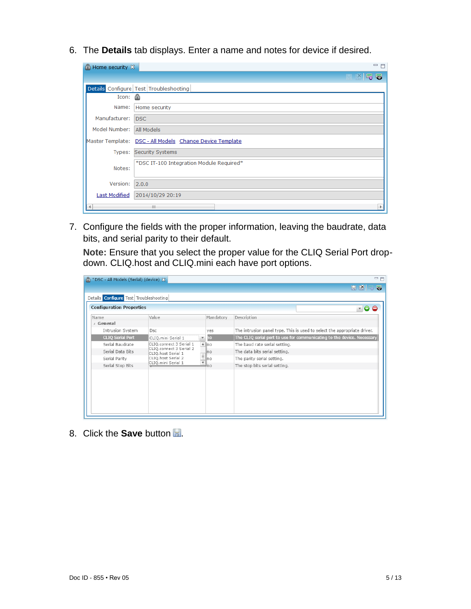6. The **Details** tab displays. Enter a name and notes for device if desired.

| Home security $\chi$ | 一日                                                       |
|----------------------|----------------------------------------------------------|
|                      | <b>HK59</b>                                              |
|                      | Details Configure Test Troubleshooting                   |
| Icon:                |                                                          |
| Name:                | Home security                                            |
| Manufacturer:        | <b>DSC</b>                                               |
| Model Number:        | All Models                                               |
|                      | Master Template: DSC - All Models Change Device Template |
| Types:               | <b>Security Systems</b>                                  |
| Notes:               | *DSC IT-100 Integration Module Required*                 |
| Version:             | 2.0.0                                                    |
| <b>Last Modified</b> | 2014/10/29 20:19                                         |
|                      | HL.                                                      |

7. Configure the fields with the proper information, leaving the baudrate, data bits, and serial parity to their default.

**Note:** Ensure that you select the proper value for the CLIQ Serial Port dropdown. CLIQ.host and CLIQ.mini each have port options.

| *DSC - All Models (Serial) (device) &<br>a    |                                               |                                 | 一日                                                                       |
|-----------------------------------------------|-----------------------------------------------|---------------------------------|--------------------------------------------------------------------------|
|                                               |                                               |                                 | 5<br>e e                                                                 |
| Details <b>Configure</b> Test Troubleshooting |                                               |                                 |                                                                          |
| <b>Configuration Properties</b>               |                                               |                                 | $\bullet$<br>$\boldsymbol{\nabla}$ .                                     |
| Name                                          | Value                                         | Mandatory                       | Description                                                              |
| ⊿ General                                     |                                               |                                 |                                                                          |
| Intrusion System                              | Dsc                                           | ves                             | The intrusion panel type. This is used to select the appropriate driver. |
| <b>CLIQ Serial Port</b>                       | CLIO.mini Serial 1                            | $\overline{ }$ no               | The CLIQ serial port to use for communicating to the device. Necessary   |
| Serial Baudrate                               | CLIQ.connect 3 Serial 1                       | $A$ no                          | The baud rate serial setting.                                            |
| Serial Data Bits                              | CLIQ.connect 3 Serial 2<br>CLIQ.host Serial 1 | .lno                            | The data bits serial setting.                                            |
| Serial Parity                                 | CLIQ.host Serial 2                            | Ino                             | The parity serial setting.                                               |
| Serial Stop Bits                              | CLIQ.mini Serial 1                            | $\overline{\phantom{a}}$<br>∉no | The stop bits serial setting.                                            |
|                                               |                                               |                                 |                                                                          |
|                                               |                                               |                                 |                                                                          |
|                                               |                                               |                                 |                                                                          |
|                                               |                                               |                                 |                                                                          |
|                                               |                                               |                                 |                                                                          |
|                                               |                                               |                                 |                                                                          |
|                                               |                                               |                                 |                                                                          |

8. Click the **Save** button ...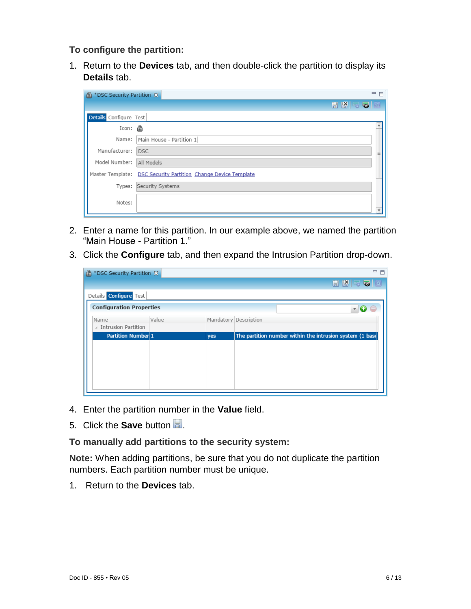**To configure the partition:**

1. Return to the **Devices** tab, and then double-click the partition to display its **Details** tab.

| <sup>®</sup> *DSC Security Partition & | 一日                                                             |
|----------------------------------------|----------------------------------------------------------------|
|                                        | $E$ $R$ $2$ $2$ $E$                                            |
| Details Configure Test                 |                                                                |
| Icon:                                  |                                                                |
|                                        | Name:   Main House - Partition 1                               |
| Manufacturer: DSC                      | ≣                                                              |
| Model Number: All Models               |                                                                |
|                                        | Master Template: DSC Security Partition Change Device Template |
|                                        | Types: Security Systems                                        |
| Notes:                                 |                                                                |

- 2. Enter a name for this partition. In our example above, we named the partition "Main House - Partition 1."
- 3. Click the **Configure** tab, and then expand the Intrusion Partition drop-down.

| <sup>@</sup> *DSC Security Partition & |       |     | □ 日                                                      |
|----------------------------------------|-------|-----|----------------------------------------------------------|
|                                        |       |     | <b>HKSO</b>                                              |
| Details Configure Test                 |       |     |                                                          |
| <b>Configuration Properties</b>        |       |     |                                                          |
| Name                                   | Value |     | Mandatory Description                                    |
| △ Intrusion Partition                  |       |     |                                                          |
| Partition Number 1                     |       | yes | The partition number within the intrusion system (1 base |
|                                        |       |     |                                                          |
|                                        |       |     |                                                          |
|                                        |       |     |                                                          |
|                                        |       |     |                                                          |
|                                        |       |     |                                                          |
|                                        |       |     |                                                          |

- 4. Enter the partition number in the **Value** field.
- 5. Click the **Save** button ...

**To manually add partitions to the security system:**

**Note:** When adding partitions, be sure that you do not duplicate the partition numbers. Each partition number must be unique.

1. Return to the **Devices** tab.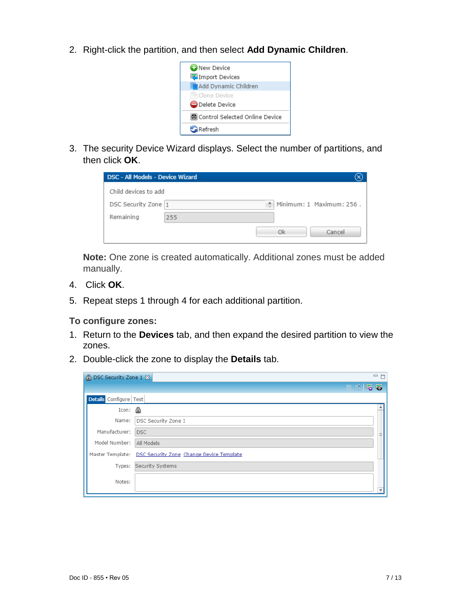2. Right-click the partition, and then select **Add Dynamic Children**.



3. The security Device Wizard displays. Select the number of partitions, and then click **OK**.

| DSC - All Models - Device Wizard |     |                          |
|----------------------------------|-----|--------------------------|
| Child devices to add             |     |                          |
| DSC Security Zone 1              | ≜   | Minimum: 1 Maximum: 256. |
| Remaining                        | 255 |                          |
|                                  |     | Οk<br>Cancel             |

**Note:** One zone is created automatically. Additional zones must be added manually.

- 4. Click **OK**.
- 5. Repeat steps 1 through 4 for each additional partition.

### **To configure zones:**

- 1. Return to the **Devices** tab, and then expand the desired partition to view the zones.
- 2. Double-click the zone to display the **Details** tab.

| <b>P DSC Security Zone 1 &amp;</b> | $\qquad \qquad =$<br>$\Box$                               |
|------------------------------------|-----------------------------------------------------------|
|                                    | HK59                                                      |
| Details Configure Test             |                                                           |
| Icon:                              |                                                           |
| Name:                              | DSC Security Zone 1                                       |
| Manufacturer:                      | <b>DSC</b>                                                |
| Model Number:                      | All Models                                                |
|                                    | Master Template: DSC Security Zone Change Device Template |
| Types:                             | Security Systems                                          |
| Notes:                             |                                                           |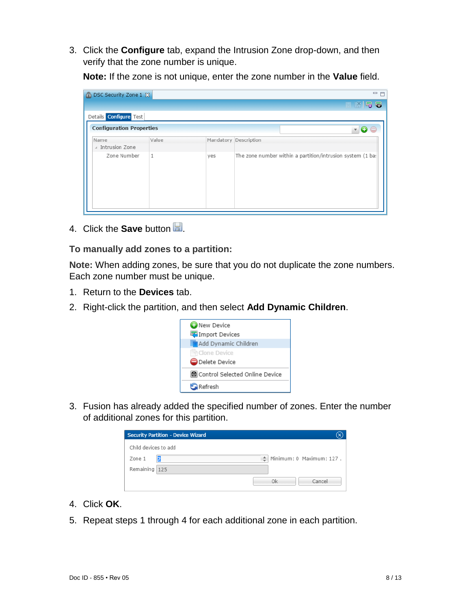3. Click the **Configure** tab, expand the Intrusion Zone drop-down, and then verify that the zone number is unique.

**Note:** If the zone is not unique, enter the zone number in the **Value** field.



4. Click the **Save** button **...** 

### **To manually add zones to a partition:**

**Note:** When adding zones, be sure that you do not duplicate the zone numbers. Each zone number must be unique.

- 1. Return to the **Devices** tab.
- 2. Right-click the partition, and then select **Add Dynamic Children**.



3. Fusion has already added the specified number of zones. Enter the number of additional zones for this partition.

| <b>Security Partition - Device Wizard</b> |                                |
|-------------------------------------------|--------------------------------|
| Child devices to add                      |                                |
| Zone 1                                    | Minimum: 0 Maximum: 127.<br>÷. |
| Remaining 125                             |                                |
|                                           | Οk<br>Cancel                   |

- 4. Click **OK**.
- 5. Repeat steps 1 through 4 for each additional zone in each partition.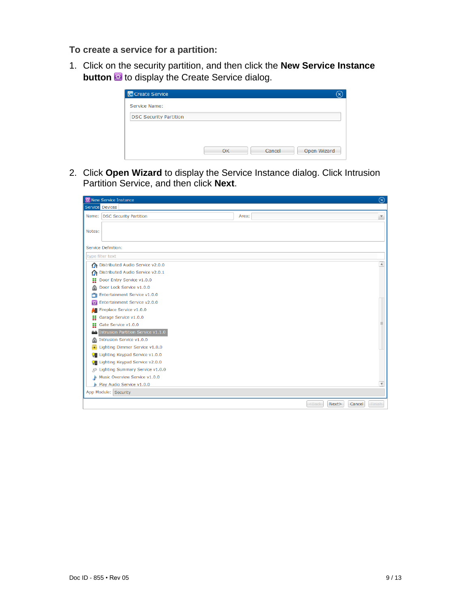**To create a service for a partition:**

1. Click on the security partition, and then click the **New Service Instance button b** to display the Create Service dialog.

| Service Name:                 |    |        |             |
|-------------------------------|----|--------|-------------|
| <b>DSC Security Partition</b> |    |        |             |
|                               |    |        |             |
|                               |    |        |             |
|                               |    |        |             |
|                               | OK | Cancel | Open Wizard |

2. Click **Open Wizard** to display the Service Instance dialog. Click Intrusion Partition Service, and then click **Next**.

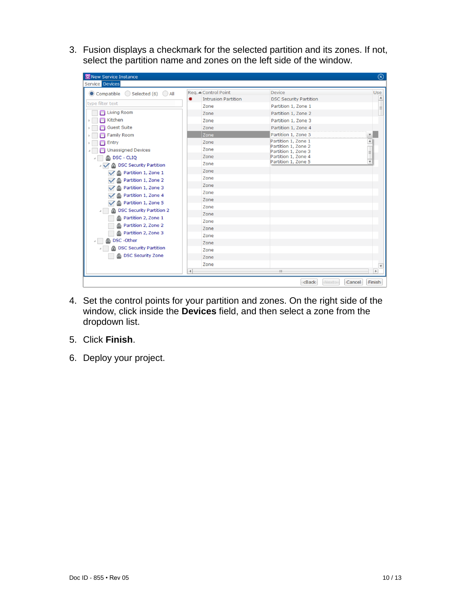3. Fusion displays a checkmark for the selected partition and its zones. If not, select the partition name and zones on the left side of the window.

| 翌 New Service Instance                                                                                                                                                                                                                                                                                                                                                                                                                                       |                                                                                                                                                              |                                                                                                                                                                                                                                    | $^\circledR$                                      |
|--------------------------------------------------------------------------------------------------------------------------------------------------------------------------------------------------------------------------------------------------------------------------------------------------------------------------------------------------------------------------------------------------------------------------------------------------------------|--------------------------------------------------------------------------------------------------------------------------------------------------------------|------------------------------------------------------------------------------------------------------------------------------------------------------------------------------------------------------------------------------------|---------------------------------------------------|
| Service Devices                                                                                                                                                                                                                                                                                                                                                                                                                                              |                                                                                                                                                              |                                                                                                                                                                                                                                    |                                                   |
| Compatible Selected (6) All                                                                                                                                                                                                                                                                                                                                                                                                                                  | Reg. △ Control Point<br>兼<br><b>Intrusion Partition</b>                                                                                                      | <b>Device</b><br><b>DSC Security Partition</b>                                                                                                                                                                                     | Use                                               |
| type filter text<br><b>Living Room</b><br>п<br>Kitchen<br><b>Guest Suite</b><br><b>Family Room</b><br>Entry<br><b>Unassigned Devices</b><br><b>A</b> DSC - CLIQ<br><b>DSC Security Partition</b><br>Partition 1, Zone 1<br>Partition 1, Zone 2<br>a<br>Partition 1, Zone 3<br>ி<br>Partition 1, Zone 4<br>Partition 1, Zone 5<br><b>DSC Security Partition 2</b><br>Partition 2, Zone 1<br>A Partition 2, Zone 2<br>Partition 2, Zone 3<br>DSC - Other<br>æ. | Zone<br>Zone<br>Zone<br>Zone<br>Zone<br>Zone<br>Zone<br>Zone<br>Zone<br>Zone<br>Zone<br>Zone<br>Zone<br>Zone<br>Zone<br>Zone<br>Zone<br>Zone<br>Zone<br>Zone | Partition 1, Zone 1<br>Partition 1, Zone 2<br>Partition 1, Zone 3<br>Partition 1, Zone 4<br>Partition 1, Zone 5<br>Partition 1, Zone 1<br>Partition 1, Zone 2<br>Partition 1, Zone 3<br>Partition 1, Zone 4<br>Partition 1, Zone 5 | $\equiv$<br>$\blacktriangle$<br>Ξ<br>٠            |
| <b>DSC Security Partition</b><br><b>A</b> DSC Security Zone                                                                                                                                                                                                                                                                                                                                                                                                  | Zone<br>Zone<br>Zone                                                                                                                                         |                                                                                                                                                                                                                                    | $\overline{\mathbf v}$                            |
|                                                                                                                                                                                                                                                                                                                                                                                                                                                              | $\left  \cdot \right $                                                                                                                                       | Ш.<br>$Back$                                                                                                                                                                                                                       | $\blacktriangleright$<br>Cancel<br>Finish<br>Next |

- 4. Set the control points for your partition and zones. On the right side of the window, click inside the **Devices** field, and then select a zone from the dropdown list.
- 5. Click **Finish**.
- 6. Deploy your project.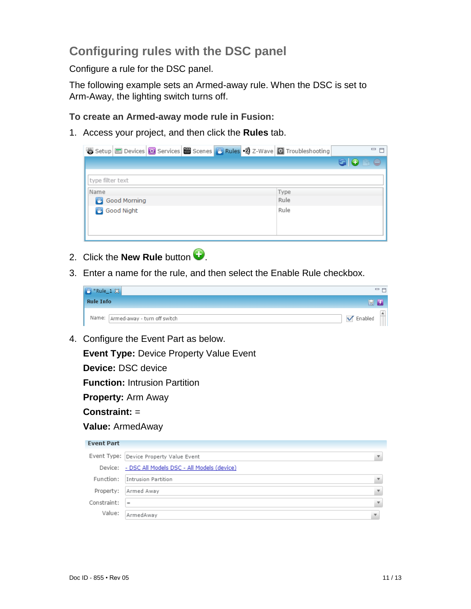# **Configuring rules with the DSC panel**

Configure a rule for the DSC panel.

The following example sets an Armed-away rule. When the DSC is set to Arm-Away, the lighting switch turns off.

**To create an Armed-away mode rule in Fusion:** 

1. Access your project, and then click the **Rules** tab.

| 图 Setup Devices 8 Services 图 Scenes 图 Rules · 第 Z-Wave 图 Troubleshooting |      | ー 日 |
|--------------------------------------------------------------------------|------|-----|
|                                                                          |      | 6 O |
| type filter text                                                         |      |     |
| Name                                                                     | Type |     |
| <b>Allen</b><br>Good Morning                                             | Rule |     |
| <b>B</b> Good Night                                                      | Rule |     |

- 2. Click the **New Rule** button  $\bullet$ .
- 3. Enter a name for the rule, and then select the Enable Rule checkbox.



4. Configure the Event Part as below.

**Event Type:** Device Property Value Event

**Device:** DSC device

**Function:** Intrusion Partition

**Property:** Arm Away

**Constraint:** =

**Value:** ArmedAway

| <b>Event Part</b> |                                                    |                         |
|-------------------|----------------------------------------------------|-------------------------|
|                   | Event Type: Device Property Value Event            |                         |
|                   | Device: - DSC All Models DSC - All Models (device) |                         |
| Function:         | Intrusion Partition                                |                         |
| Property:         | Armed Away                                         |                         |
| Constraint:       | $=$                                                |                         |
| Value:            | ArmedAway                                          | $\overline{\mathbf{v}}$ |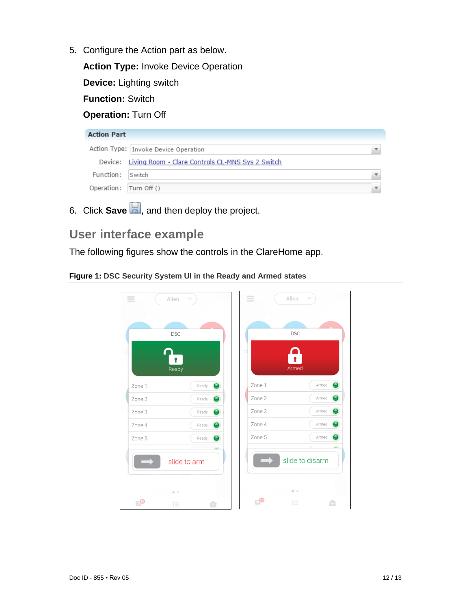5. Configure the Action part as below.

**Action Type:** Invoke Device Operation

**Device:** Lighting switch

**Function:** Switch

### **Operation:** Turn Off

| <b>Action Part</b>     |                                                          |  |
|------------------------|----------------------------------------------------------|--|
|                        | Action Type: Invoke Device Operation                     |  |
|                        | Device: Living Room - Clare Controls CL-MNS Sys 2 Switch |  |
| Function: Switch       |                                                          |  |
| Operation: Turn Off () |                                                          |  |

6. Click **Save <b>b**, and then deploy the project.

# **User interface example**

The following figures show the controls in the ClareHome app.

### **Figure 1: DSC Security System UI in the Ready and Armed states**